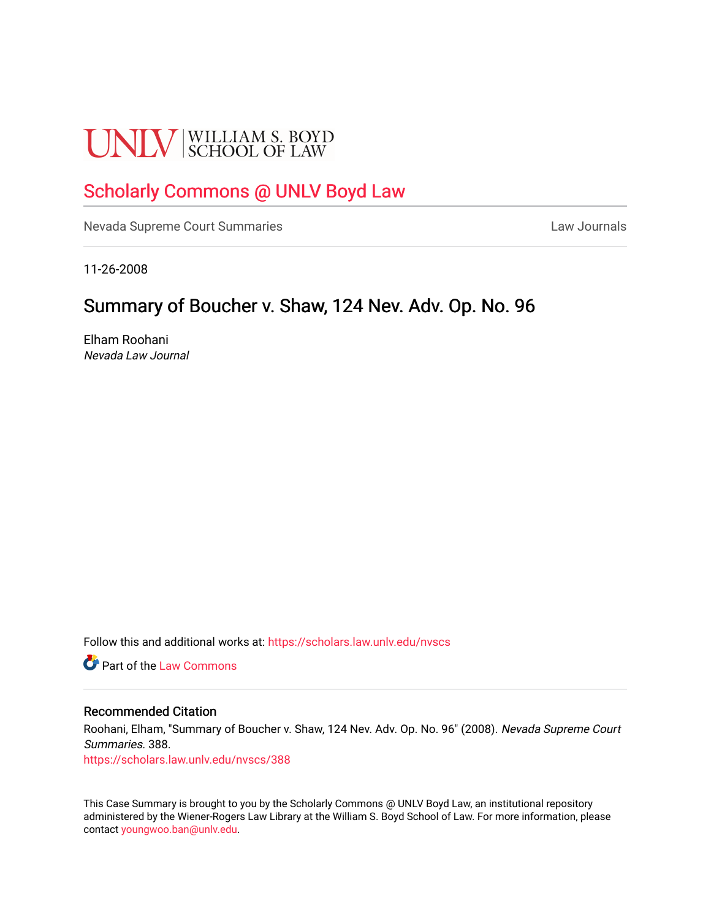# **UNLV** SCHOOL OF LAW

# [Scholarly Commons @ UNLV Boyd Law](https://scholars.law.unlv.edu/)

[Nevada Supreme Court Summaries](https://scholars.law.unlv.edu/nvscs) **Law Journals** Law Journals

11-26-2008

# Summary of Boucher v. Shaw, 124 Nev. Adv. Op. No. 96

Elham Roohani Nevada Law Journal

Follow this and additional works at: [https://scholars.law.unlv.edu/nvscs](https://scholars.law.unlv.edu/nvscs?utm_source=scholars.law.unlv.edu%2Fnvscs%2F388&utm_medium=PDF&utm_campaign=PDFCoverPages)

**C** Part of the [Law Commons](http://network.bepress.com/hgg/discipline/578?utm_source=scholars.law.unlv.edu%2Fnvscs%2F388&utm_medium=PDF&utm_campaign=PDFCoverPages)

#### Recommended Citation

Roohani, Elham, "Summary of Boucher v. Shaw, 124 Nev. Adv. Op. No. 96" (2008). Nevada Supreme Court Summaries. 388.

[https://scholars.law.unlv.edu/nvscs/388](https://scholars.law.unlv.edu/nvscs/388?utm_source=scholars.law.unlv.edu%2Fnvscs%2F388&utm_medium=PDF&utm_campaign=PDFCoverPages)

This Case Summary is brought to you by the Scholarly Commons @ UNLV Boyd Law, an institutional repository administered by the Wiener-Rogers Law Library at the William S. Boyd School of Law. For more information, please contact [youngwoo.ban@unlv.edu](mailto:youngwoo.ban@unlv.edu).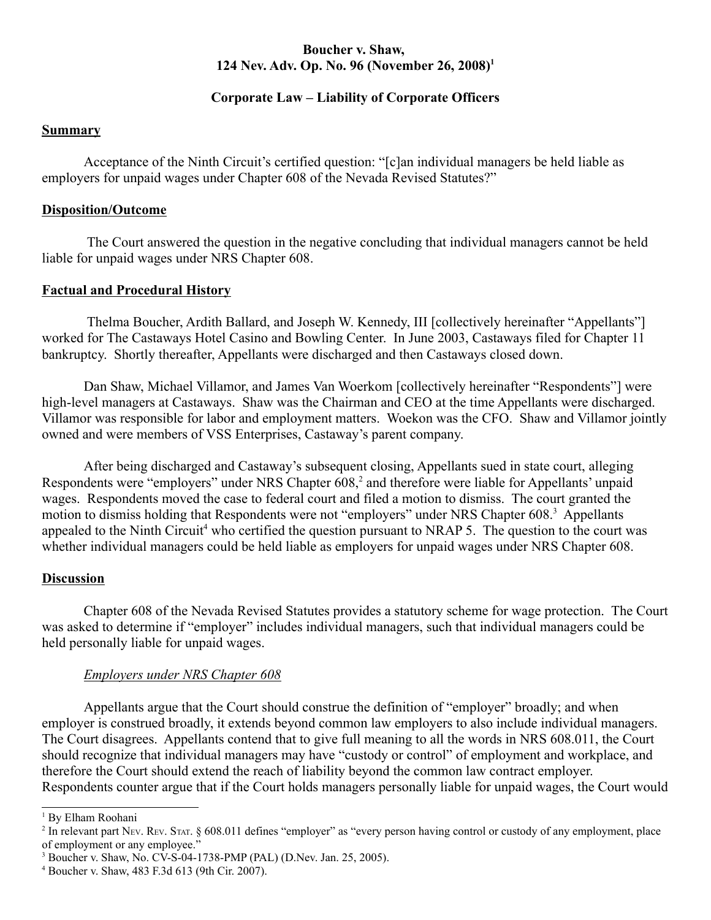# **Boucher v. Shaw, 124 Nev. Adv. Op. No. 96 (November 26, 2008)1**

# **Corporate Law – Liability of Corporate Officers**

#### **Summary**

Acceptance of the Ninth Circuit's certified question: "[c]an individual managers be held liable as employers for unpaid wages under Chapter 608 of the Nevada Revised Statutes?"

#### **Disposition/Outcome**

 The Court answered the question in the negative concluding that individual managers cannot be held liable for unpaid wages under NRS Chapter 608.

# **Factual and Procedural History**

 Thelma Boucher, Ardith Ballard, and Joseph W. Kennedy, III [collectively hereinafter "Appellants"] worked for The Castaways Hotel Casino and Bowling Center. In June 2003, Castaways filed for Chapter 11 bankruptcy. Shortly thereafter, Appellants were discharged and then Castaways closed down.

Dan Shaw, Michael Villamor, and James Van Woerkom [collectively hereinafter "Respondents"] were high-level managers at Castaways. Shaw was the Chairman and CEO at the time Appellants were discharged. Villamor was responsible for labor and employment matters. Woekon was the CFO. Shaw and Villamor jointly owned and were members of VSS Enterprises, Castaway's parent company.

After being discharged and Castaway's subsequent closing, Appellants sued in state court, alleging Respondents were "employers" under NRS Chapter 608,<sup>2</sup> and therefore were liable for Appellants' unpaid wages. Respondents moved the case to federal court and filed a motion to dismiss. The court granted the motion to dismiss holding that Respondents were not "employers" under NRS Chapter 608.<sup>3</sup> Appellants appealed to the Ninth Circuit<sup>4</sup> who certified the question pursuant to NRAP 5. The question to the court was whether individual managers could be held liable as employers for unpaid wages under NRS Chapter 608.

#### **Discussion**

Chapter 608 of the Nevada Revised Statutes provides a statutory scheme for wage protection. The Court was asked to determine if "employer" includes individual managers, such that individual managers could be held personally liable for unpaid wages.

# *Employers under NRS Chapter 608*

Appellants argue that the Court should construe the definition of "employer" broadly; and when employer is construed broadly, it extends beyond common law employers to also include individual managers. The Court disagrees. Appellants contend that to give full meaning to all the words in NRS 608.011, the Court should recognize that individual managers may have "custody or control" of employment and workplace, and therefore the Court should extend the reach of liability beyond the common law contract employer. Respondents counter argue that if the Court holds managers personally liable for unpaid wages, the Court would

<sup>1</sup> By Elham Roohani

<sup>&</sup>lt;sup>2</sup> In relevant part NEV. REV. STAT. § 608.011 defines "employer" as "every person having control or custody of any employment, place of employment or any employee."

<sup>3</sup> Boucher v. Shaw, No. CV-S-04-1738-PMP (PAL) (D.Nev. Jan. 25, 2005).

<sup>4</sup> Boucher v. Shaw, 483 F.3d 613 (9th Cir. 2007).